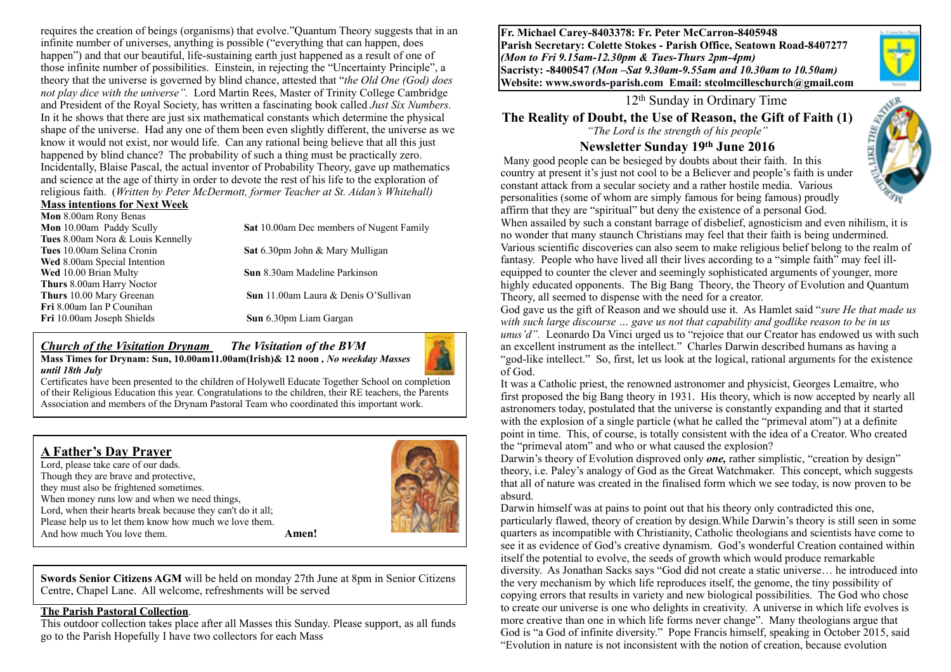requires the creation of beings (organisms) that evolve."Quantum Theory suggests that in an infinite number of universes, anything is possible ("everything that can happen, does happen") and that our beautiful, life-sustaining earth just happened as a result of one of those infinite number of possibilities. Einstein, in rejecting the "Uncertainty Principle", a theory that the universe is governed by blind chance, attested that "*the Old One (God) does not play dice with the universe".* Lord Martin Rees, Master of Trinity College Cambridge and President of the Royal Society, has written a fascinating book called *Just Six Numbers.*  In it he shows that there are just six mathematical constants which determine the physical shape of the universe. Had any one of them been even slightly different, the universe as we know it would not exist, nor would life. Can any rational being believe that all this just happened by blind chance? The probability of such a thing must be practically zero. Incidentally, Blaise Pascal, the actual inventor of Probability Theory, gave up mathematics and science at the age of thirty in order to devote the rest of his life to the exploration of religious faith. (*Written by Peter McDermott, former Teacher at St. Aidan's Whitehall)* 

#### **Mass intentions for Next Week**

| Mon 8.00am Rony Benas                    |                                                 |  |  |
|------------------------------------------|-------------------------------------------------|--|--|
| Mon 10.00am Paddy Scully                 | <b>Sat</b> 10.00am Dec members of Nugent Family |  |  |
| <b>Tues</b> 8.00am Nora & Louis Kennelly |                                                 |  |  |
| Tues 10.00am Selina Cronin               | Sat 6.30pm John & Mary Mulligan                 |  |  |
| Wed 8.00am Special Intention             |                                                 |  |  |
| Wed 10.00 Brian Multy                    | <b>Sun</b> 8.30am Madeline Parkinson            |  |  |
| <b>Thurs</b> 8.00am Harry Noctor         |                                                 |  |  |
| <b>Thurs</b> 10.00 Mary Greenan          | <b>Sun</b> 11.00am Laura & Denis O'Sullivan     |  |  |
| <b>Fri</b> 8.00am Ian P Counihan         |                                                 |  |  |
| Fri 10.00am Joseph Shields               | Sun 6.30pm Liam Gargan                          |  |  |
|                                          |                                                 |  |  |

#### *Church of the Visitation Drynam**The Visitation of the BVM* **Mass Times for Drynam: Sun, 10.00am11.00am(Irish)& 12 noon** *, No weekday Masses until 18th July*



Certificates have been presented to the children of Holywell Educate Together School on completion of their Religious Education this year. Congratulations to the children, their RE teachers, the Parents Association and members of the Drynam Pastoral Team who coordinated this important work.

| <b>A Father's Day Prayer</b><br>Lord, please take care of our dads.<br>Though they are brave and protective,<br>they must also be frightened sometimes.<br>When money runs low and when we need things,<br>Lord, when their hearts break because they can't do it all;<br>Please help us to let them know how much we love them.<br>And how much You love them. | Amen! |  |
|-----------------------------------------------------------------------------------------------------------------------------------------------------------------------------------------------------------------------------------------------------------------------------------------------------------------------------------------------------------------|-------|--|
|-----------------------------------------------------------------------------------------------------------------------------------------------------------------------------------------------------------------------------------------------------------------------------------------------------------------------------------------------------------------|-------|--|

**Swords Senior Citizens AGM** will be held on monday 27th June at 8pm in Senior Citizens Centre, Chapel Lane. All welcome, refreshments will be served

#### **The Parish Pastoral Collection**.

This outdoor collection takes place after all Masses this Sunday. Please support, as all funds go to the Parish Hopefully I have two collectors for each Mass

**Fr. Michael Carey-8403378: Fr. Peter McCarron-8405948 Parish Secretary: Colette Stokes - Parish Office, Seatown Road-8407277**  *(Mon to Fri 9.15am-12.30pm & Tues-Thurs 2pm-4pm)*  **Sacristy: -8400547** *(Mon –Sat 9.30am-9.55am and 10.30am to 10.50am)* **Website: [www.swords-parish.com Email:](http://www.swords-parish.com%20%20email) stcolmcilleschurch@gmail.com**



**The Reality of Doubt, the Use of Reason, the Gift of Faith (1)** *"The Lord is the strength of his people"* 

### **Newsletter Sunday 19th June 2016**

 Many good people can be besieged by doubts about their faith. In this country at present it's just not cool to be a Believer and people's faith is under constant attack from a secular society and a rather hostile media. Various personalities (some of whom are simply famous for being famous) proudly affirm that they are "spiritual" but deny the existence of a personal God.



When assailed by such a constant barrage of disbelief, agnosticism and even nihilism, it is no wonder that many staunch Christians may feel that their faith is being undermined. Various scientific discoveries can also seem to make religious belief belong to the realm of fantasy. People who have lived all their lives according to a "simple faith" may feel illequipped to counter the clever and seemingly sophisticated arguments of younger, more highly educated opponents. The Big Bang Theory, the Theory of Evolution and Quantum Theory, all seemed to dispense with the need for a creator.

God gave us the gift of Reason and we should use it. As Hamlet said "*sure He that made us with such large discourse … gave us not that capability and godlike reason to be in us unus'd".* Leonardo Da Vinci urged us to "rejoice that our Creator has endowed us with such an excellent instrument as the intellect." Charles Darwin described humans as having a "god-like intellect." So, first, let us look at the logical, rational arguments for the existence of God.

It was a Catholic priest, the renowned astronomer and physicist, Georges Lemaítre, who first proposed the big Bang theory in 1931. His theory, which is now accepted by nearly all astronomers today, postulated that the universe is constantly expanding and that it started with the explosion of a single particle (what he called the "primeval atom") at a definite point in time. This, of course, is totally consistent with the idea of a Creator. Who created the "primeval atom" and who or what caused the explosion?

Darwin's theory of Evolution disproved only *one*, rather simplistic, "creation by design" theory, i.e. Paley's analogy of God as the Great Watchmaker. This concept, which suggests that all of nature was created in the finalised form which we see today, is now proven to be absurd.

Darwin himself was at pains to point out that his theory only contradicted this one, particularly flawed, theory of creation by design.While Darwin's theory is still seen in some quarters as incompatible with Christianity, Catholic theologians and scientists have come to see it as evidence of God's creative dynamism. God's wonderful Creation contained within itself the potential to evolve, the seeds of growth which would produce remarkable diversity. As Jonathan Sacks says "God did not create a static universe… he introduced into the very mechanism by which life reproduces itself, the genome, the tiny possibility of copying errors that results in variety and new biological possibilities. The God who chose to create our universe is one who delights in creativity. A universe in which life evolves is more creative than one in which life forms never change". Many theologians argue that God is "a God of infinite diversity." Pope Francis himself, speaking in October 2015, said "Evolution in nature is not inconsistent with the notion of creation, because evolution